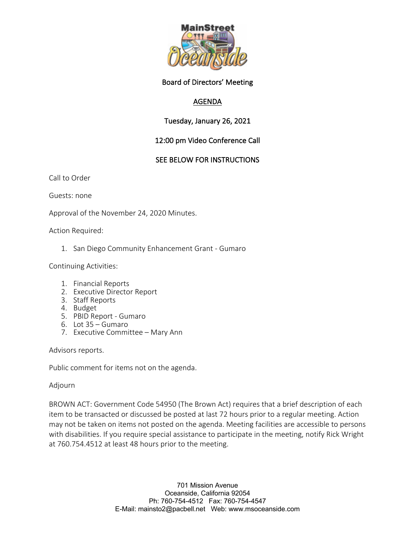

#### Board of Directors' Meeting

# AGENDA

# Tuesday, January 26, 2021

# 12:00 pm Video Conference Call

#### SEE BELOW FOR INSTRUCTIONS

Call to Order

Guests: none

Approval of the November 24, 2020 Minutes.

Action Required:

1. San Diego Community Enhancement Grant - Gumaro

Continuing Activities:

- 1. Financial Reports
- 2. Executive Director Report
- 3. Staff Reports
- 4. Budget
- 5. PBID Report Gumaro
- 6. Lot 35 Gumaro
- 7. Executive Committee Mary Ann

Advisors reports.

Public comment for items not on the agenda.

#### Adjourn

BROWN ACT: Government Code 54950 (The Brown Act) requires that a brief description of each item to be transacted or discussed be posted at last 72 hours prior to a regular meeting. Action may not be taken on items not posted on the agenda. Meeting facilities are accessible to persons with disabilities. If you require special assistance to participate in the meeting, notify Rick Wright at 760.754.4512 at least 48 hours prior to the meeting.

> 701 Mission Avenue Oceanside, California 92054 Ph: 760-754-4512 Fax: 760-754-4547 E-Mail: mainsto2@pacbell.net Web: www.msoceanside.com